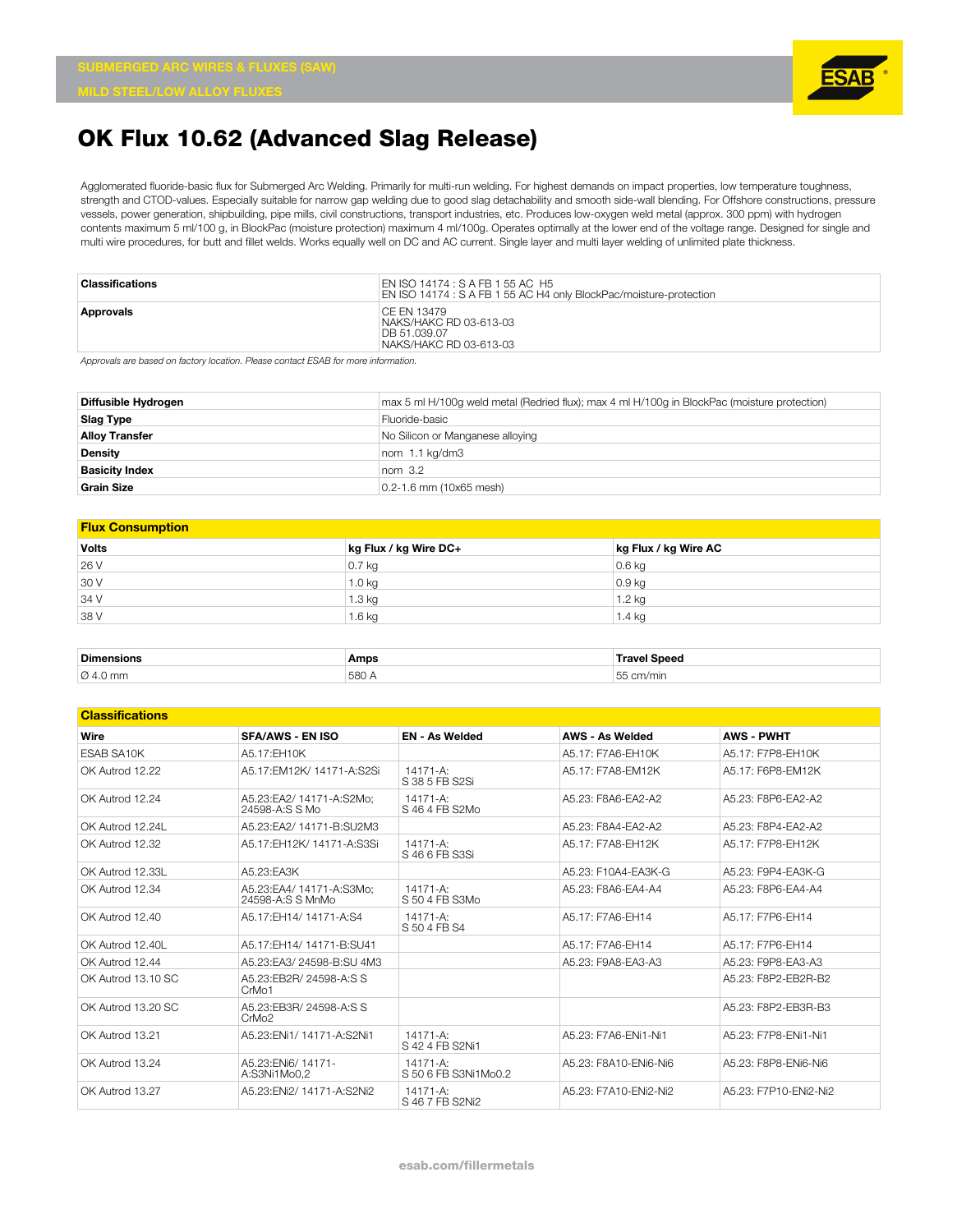

Agglomerated fluoride-basic flux for Submerged Arc Welding. Primarily for multi-run welding. For highest demands on impact properties, low temperature toughness, strength and CTOD-values. Especially suitable for narrow gap welding due to good slag detachability and smooth side-wall blending. For Offshore constructions, pressure vessels, power generation, shipbuilding, pipe mills, civil constructions, transport industries, etc. Produces low-oxygen weld metal (approx. 300 ppm) with hydrogen contents maximum 5 ml/100 g, in BlockPac (moisture protection) maximum 4 ml/100g. Operates optimally at the lower end of the voltage range. Designed for single and multi wire procedures, for butt and fillet welds. Works equally well on DC and AC current. Single layer and multi layer welding of unlimited plate thickness.

| Classifications | EN ISO 14174 : S A FB 1 55 AC H5<br>EN ISO 14174 : S A FB 1 55 AC H4 only BlockPac/moisture-protection |
|-----------------|--------------------------------------------------------------------------------------------------------|
| Approvals       | CE EN 13479<br>NAKS/HAKC RD 03-613-03<br>DB 51.039.07<br>NAKS/HAKC RD 03-613-03                        |

*Approvals are based on factory location. Please contact ESAB for more information.*

| Diffusible Hydrogen   | max 5 ml H/100q weld metal (Redried flux); max 4 ml H/100q in BlockPac (moisture protection) |
|-----------------------|----------------------------------------------------------------------------------------------|
| <b>Slag Type</b>      | Fluoride-basic                                                                               |
| <b>Alloy Transfer</b> | No Silicon or Manganese alloying                                                             |
| Density               | nom 1.1 kg/dm3                                                                               |
| <b>Basicity Index</b> | nom <sub>3.2</sub>                                                                           |
| <b>Grain Size</b>     | $0.2 - 1.6$ mm (10x65 mesh)                                                                  |

| <b>Flux Consumption</b> |                       |                      |  |  |  |  |
|-------------------------|-----------------------|----------------------|--|--|--|--|
| <b>Volts</b>            | kg Flux / kg Wire DC+ | kg Flux / kg Wire AC |  |  |  |  |
| 26 V                    | $0.7$ kg              | $0.6$ kg             |  |  |  |  |
| 30 V                    | 1.0 kg                | $0.9$ kg             |  |  |  |  |
| 34 V                    | $1.3 \text{ kg}$      | 1.2 kg               |  |  |  |  |
| 38 V                    | $1.6$ kg              | $1.4$ kg             |  |  |  |  |
|                         |                       |                      |  |  |  |  |
| _ _ _                   |                       |                      |  |  |  |  |

| <b>Dim</b>        | Amps | Sneer |
|-------------------|------|-------|
| $\varnothing$ 4.0 |      |       |
| ጋ mm              | 580  | $- -$ |

#### **Classifications**

| Vlassilivativi is  |                                              |                                  |                        |                       |
|--------------------|----------------------------------------------|----------------------------------|------------------------|-----------------------|
| Wire               | <b>SFA/AWS - EN ISO</b>                      | <b>EN - As Welded</b>            | <b>AWS - As Welded</b> | <b>AWS - PWHT</b>     |
| <b>ESAB SA10K</b>  | A5.17: EH10K                                 |                                  | A5.17: F7A6-FH10K      | A5.17: F7P8-EH10K     |
| OK Autrod 12.22    | A5.17:EM12K/ 14171-A:S2Si                    | $14171 - A$ :<br>S 38 5 FB S2Si  | A5.17: F7A8-EM12K      | A5.17: F6P8-EM12K     |
| OK Autrod 12.24    | A5.23:EA2/ 14171-A:S2Mo:<br>24598-A:S S Mo   | $14171 - A$ :<br>S 46 4 FB S2Mo  | A5.23: F8A6-FA2-A2     | A5.23: F8P6-FA2-A2    |
| OK Autrod 12.24L   | A5.23: FA2/ 14171-B: SU2M3                   |                                  | A5.23: F8A4-FA2-A2     | A5.23: F8P4-EA2-A2    |
| OK Autrod 12.32    | A5.17:EH12K/ 14171-A:S3Si                    | $14171 - A$ :<br>S 46 6 FB S3Si  | A5.17: F7A8-EH12K      | A5.17: F7P8-EH12K     |
| OK Autrod 12.33L   | A5.23: FA3K                                  |                                  | A5.23: F10A4-EA3K-G    | A5.23: F9P4-EA3K-G    |
| OK Autrod 12.34    | A5.23:EA4/ 14171-A:S3Mo:<br>24598-A:S S MnMo | $14171 - A$ :<br>S 50 4 FB S3Mo  | A5.23: F8A6-FA4-A4     | A5.23: F8P6-FA4-A4    |
| OK Autrod 12.40    | A5.17:EH14/ 14171-A:S4                       | 14171-A:<br>S 50 4 FB S4         | A5.17: F7A6-FH14       | A5.17: F7P6-FH14      |
| OK Autrod 12.40L   | A5.17:EH14/14171-B:SU41                      |                                  | A5.17: F7A6-FH14       | A5.17: F7P6-EH14      |
| OK Autrod 12.44    | A5.23:EA3/24598-B:SU 4M3                     |                                  | A5.23: F9A8-EA3-A3     | A5.23: F9P8-EA3-A3    |
| OK Autrod 13.10 SC | A5.23:EB2R/ 24598-A:S S<br>CrMo <sub>1</sub> |                                  |                        | A5.23: F8P2-FB2R-B2   |
| OK Autrod 13.20 SC | A5.23:EB3R/ 24598-A:S S<br>CrMo <sub>2</sub> |                                  |                        | A5.23: F8P2-EB3R-B3   |
| OK Autrod 13.21    | A5.23: FNi1/ 14171-A: S2Ni1                  | $14171 - A$ :<br>S 42 4 FB S2Ni1 | A5.23: F7A6-ENi1-Ni1   | A5.23: F7P8-ENi1-Ni1  |
| OK Autrod 13.24    | A5.23: FNi6/14171-<br>A:S3Ni1Mo0.2           | 14171-A:<br>S 50 6 FB S3Ni1Mo0.2 | A5.23: F8A10-FNi6-Ni6  | A5.23: F8P8-ENi6-Ni6  |
| OK Autrod 13.27    | A5.23: ENi2/ 14171-A: S2Ni2                  | $14171 - A$ :<br>S 46 7 FB S2Ni2 | A5.23: F7A10-FNi2-Ni2  | A5.23: F7P10-ENi2-Ni2 |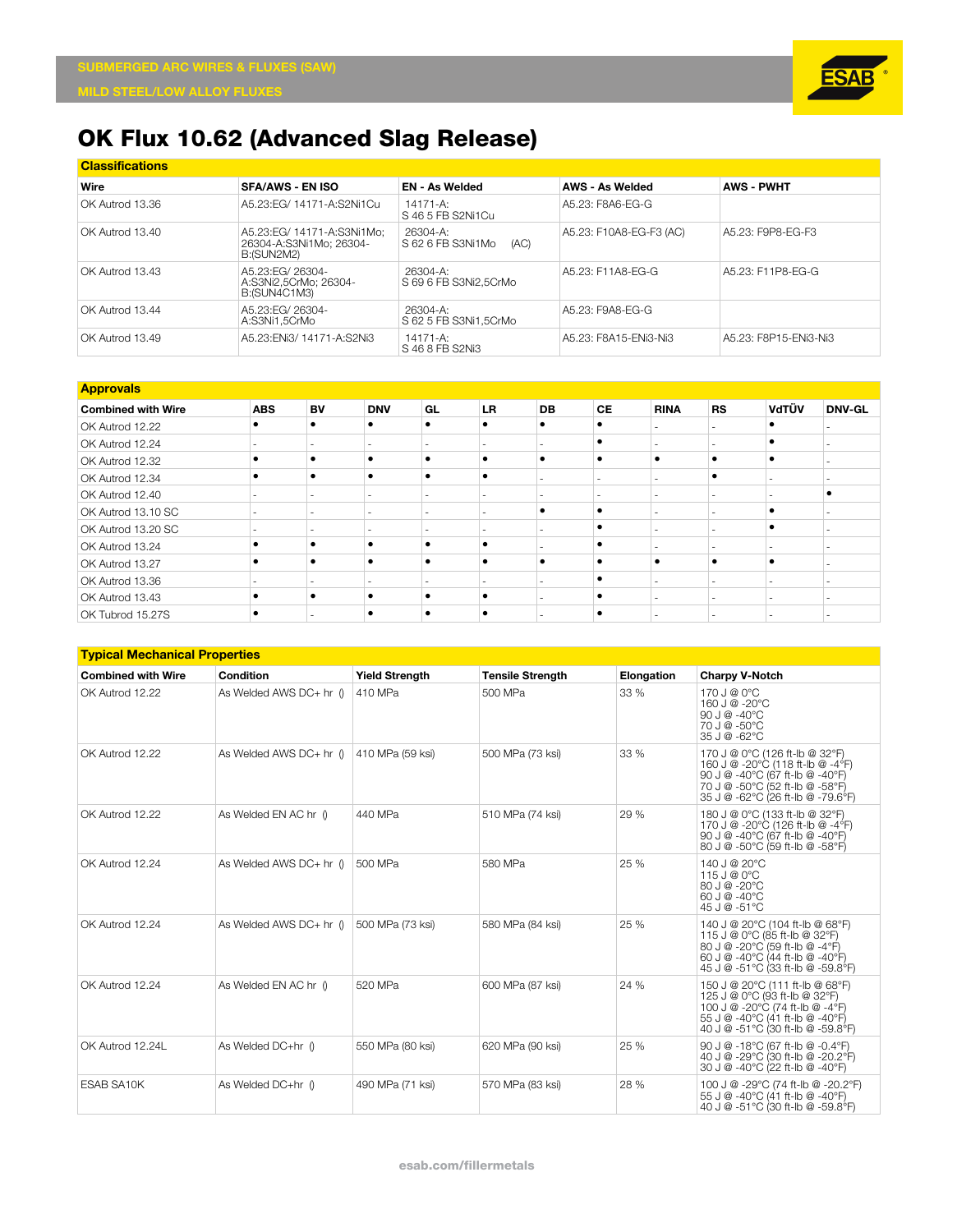

| <b>Classifications</b> |                                                                     |                                       |                         |                       |  |  |  |  |  |
|------------------------|---------------------------------------------------------------------|---------------------------------------|-------------------------|-----------------------|--|--|--|--|--|
| Wire                   | <b>SFA/AWS - EN ISO</b>                                             | <b>EN - As Welded</b>                 | <b>AWS - As Welded</b>  | <b>AWS - PWHT</b>     |  |  |  |  |  |
| OK Autrod 13.36        | A5.23: EG/ 14171-A: S2Ni1Cu                                         | 14171-A:<br>S 46.5 FB S2Ni1Cu         | A5.23: F8A6-EG-G        |                       |  |  |  |  |  |
| IOK Autrod 13.40       | A5.23:EG/ 14171-A:S3Ni1Mo:<br>26304-A:S3Ni1Mo: 26304-<br>B:(SUN2M2) | 26304-A:<br>S 62 6 FB S3Ni1Mo<br>(AC) | A5.23: F10A8-EG-F3 (AC) | A5.23: F9P8-EG-F3     |  |  |  |  |  |
| OK Autrod 13.43        | A5.23: EG/ 26304-<br>A:S3Ni2.5CrMo: 26304-<br>B: (SUN4C1M3)         | 26304-A:<br>S 69 6 FB S3Ni2.5CrMo     | A5.23: F11A8-FG-G       | A5.23: F11P8-EG-G     |  |  |  |  |  |
| OK Autrod 13.44        | A5.23: EG/ 26304-<br>A:S3Ni1.5CrMo                                  | 26304-A:<br>S 62 5 FB S3Ni1.5CrMo     | A5.23: F9A8-EG-G        |                       |  |  |  |  |  |
| OK Autrod 13.49        | A5.23: ENi3/ 14171-A: S2Ni3                                         | 14171-A:<br>S 46 8 FB S2Ni3           | A5.23: F8A15-ENi3-Ni3   | A5.23: F8P15-ENi3-Ni3 |  |  |  |  |  |

| <b>Approvals</b>          |            |           |                          |           |     |           |                          |             |           |       |               |
|---------------------------|------------|-----------|--------------------------|-----------|-----|-----------|--------------------------|-------------|-----------|-------|---------------|
| <b>Combined with Wire</b> | <b>ABS</b> | <b>BV</b> | <b>DNV</b>               | GL        | LR. | <b>DB</b> | <b>CE</b>                | <b>RINA</b> | <b>RS</b> | VdTÜV | <b>DNV-GL</b> |
| OK Autrod 12.22           | ٠          |           | ٠                        | $\bullet$ |     | ٠         | ٠                        |             |           |       |               |
| OK Autrod 12.24           |            |           |                          |           |     |           | ٠                        |             |           | ٠     |               |
| OK Autrod 12.32           |            |           | ٠                        | ٠         |     | ٠         | $\bullet$                |             |           | ٠     |               |
| OK Autrod 12.34           |            |           | ٠                        | ٠         |     |           | $\overline{\phantom{a}}$ |             |           |       |               |
| OK Autrod 12.40           |            |           | ۰                        |           |     |           |                          |             |           |       |               |
| OK Autrod 13.10 SC        |            |           | $\overline{\phantom{a}}$ | -         |     |           | ٠                        |             |           | ٠     |               |
| OK Autrod 13.20 SC        |            |           |                          |           |     |           |                          |             |           |       |               |
| OK Autrod 13.24           |            |           | ٠                        | ٠         |     |           | c                        |             |           |       |               |
| OK Autrod 13.27           |            |           | ٠                        | ٠         |     | ٠         | c                        |             |           | ٠     |               |
| OK Autrod 13.36           |            |           | ۰                        |           |     |           | c                        |             |           | ۰     |               |
| OK Autrod 13.43           |            |           | ٠                        | ٠         |     |           | ٠                        |             |           | ۰     |               |
| OK Tubrod 15.27S          | ٠          |           | ٠                        | ٠         |     |           | c                        |             |           |       |               |

#### **Typical Mechanical Properties**

| <b>Combined with Wire</b> | Condition               | <b>Yield Strength</b> | <b>Tensile Strength</b> | Elongation | <b>Charpy V-Notch</b>                                                                                                                                                         |
|---------------------------|-------------------------|-----------------------|-------------------------|------------|-------------------------------------------------------------------------------------------------------------------------------------------------------------------------------|
| OK Autrod 12.22           | As Welded AWS DC+ hr () | 410 MPa               | 500 MPa                 | 33 %       | 170 J @ 0°C<br>160 J @ -20°C<br>90 J $@ - 40°C$<br>70 J @ -50°C<br>35 J @ -62°C                                                                                               |
| OK Autrod 12.22           | As Welded AWS DC+ hr () | 410 MPa (59 ksi)      | 500 MPa (73 ksi)        | 33%        | 170 J @ 0°C (126 ft-lb @ 32°F)<br>160 J @ -20°C (118 ft-lb @ -4°F)<br>90 J @ -40°C (67 ft-lb @ -40°F)<br>70 J @ -50°C (52 ft-lb @ -58°F)<br>35 J @ -62°C (26 ft-lb @ -79.6°F) |
| OK Autrod 12.22           | As Welded EN AC hr 0    | 440 MPa               | 510 MPa (74 ksi)        | 29 %       | 180 J @ 0°C (133 ft-lb @ 32°F)<br>170 J @ -20°C (126 ft-lb @ -4°F)<br>90 J @ -40°C (67 ft-lb @ -40°F)<br>80 J @ -50°C (59 ft-lb @ -58°F)                                      |
| OK Autrod 12.24           | As Welded AWS DC+ hr 0  | 500 MPa               | 580 MPa                 | 25 %       | 140 J @ 20°C<br>115 J @ 0°C<br>80 J @ -20°C<br>60 J @ -40°C<br>45 J @ -51°C                                                                                                   |
| OK Autrod 12.24           | As Welded AWS DC+ hr 0  | 500 MPa (73 ksi)      | 580 MPa (84 ksi)        | 25 %       | 140 J @ 20°C (104 ft-lb @ 68°F)<br>115 J @ 0°C (85 ft-lb @ 32°F)<br>80 J @ -20°C (59 ft-lb @ -4°F)<br>60 J @ -40°C (44 ft-lb @ -40°F)<br>45 J @ -51°C (33 ft-lb @ -59.8°F)    |
| OK Autrod 12.24           | As Welded EN AC hr 0    | 520 MPa               | 600 MPa (87 ksi)        | 24 %       | 150 J @ 20°C (111 ft-lb @ 68°F)<br>125 J @ 0°C (93 ft-lb @ 32°F)<br>100 J @ -20°C (74 ft-lb @ -4°F)<br>55 J @ -40°C (41 ft-lb @ -40°F)<br>40 J @ -51°C (30 ft-lb @ -59.8°F)   |
| OK Autrod 12.24L          | As Welded DC+hr ()      | 550 MPa (80 ksi)      | 620 MPa (90 ksi)        | 25 %       | 90 J @ -18°C (67 ft-lb @ -0.4°F)<br>40 J @ -29°C (30 ft-lb @ -20.2°F)<br>30 J @ -40°C (22 ft-lb @ -40°F)                                                                      |
| <b>FSAB SA10K</b>         | As Welded DC+hr ()      | 490 MPa (71 ksi)      | 570 MPa (83 ksi)        | 28 %       | 100 J @ -29°C (74 ft-lb @ -20.2°F)<br>55 J @ -40°C (41 ft-lb @ -40°F)<br>40 J @ -51°C (30 ft-lb @ -59.8°F)                                                                    |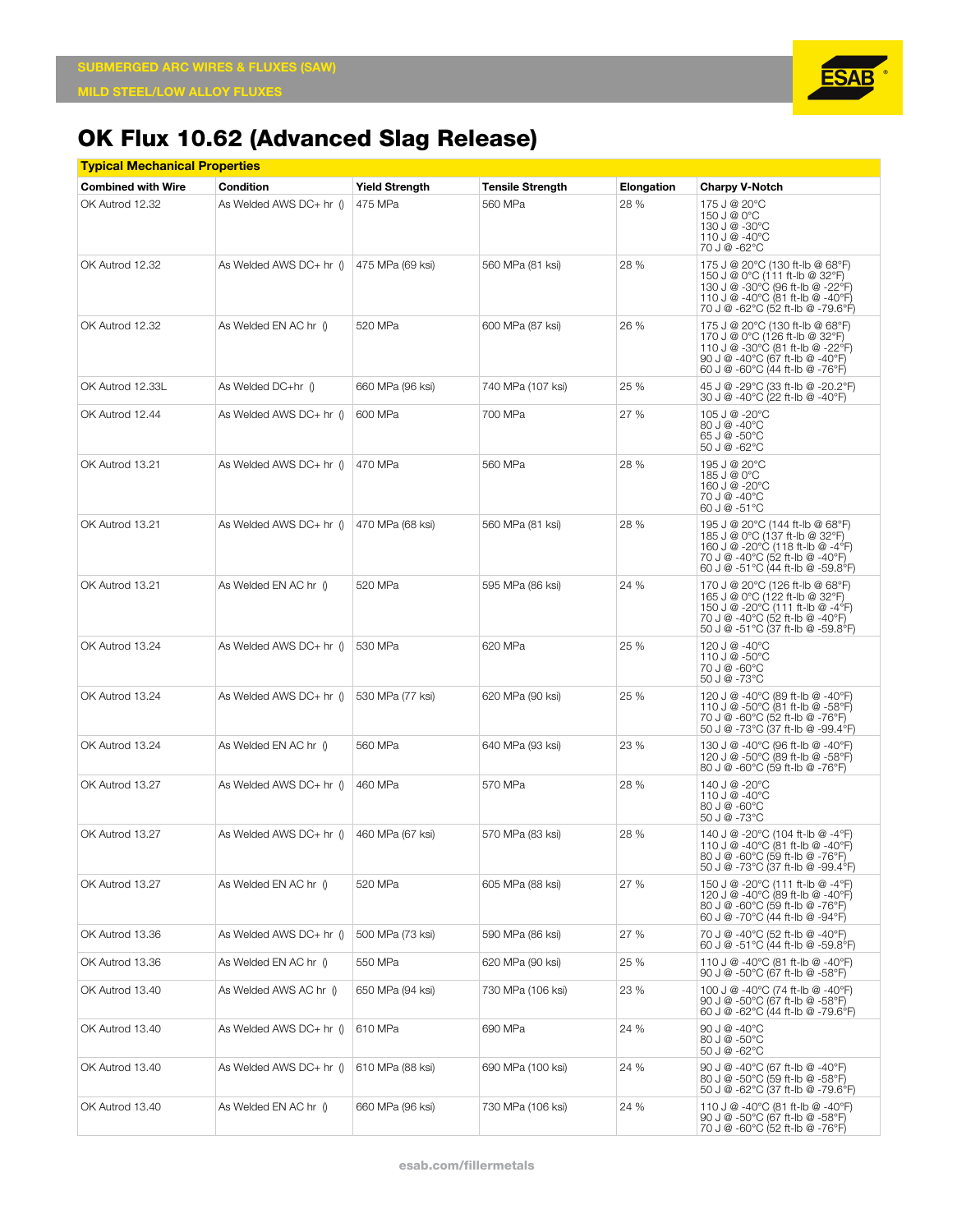

| <u>Typical Mechanical Properties</u> |                          |                       |                         |            |                                                                                                                                                                                |  |  |  |
|--------------------------------------|--------------------------|-----------------------|-------------------------|------------|--------------------------------------------------------------------------------------------------------------------------------------------------------------------------------|--|--|--|
| <b>Combined with Wire</b>            | <b>Condition</b>         | <b>Yield Strength</b> | <b>Tensile Strength</b> | Elongation | <b>Charpy V-Notch</b>                                                                                                                                                          |  |  |  |
| OK Autrod 12.32                      | As Welded AWS DC+ hr ()  | 475 MPa               | 560 MPa                 | 28 %       | 175 J @ 20°C<br>150 J @ 0°C<br>130 J @ -30°C<br>110 J @ -40°C<br>70 J @ -62°C                                                                                                  |  |  |  |
| OK Autrod 12.32                      | As Welded AWS DC+ hr ()  | 475 MPa (69 ksi)      | 560 MPa (81 ksi)        | 28 %       | 175 J @ 20°C (130 ft-lb @ 68°F)<br>150 J @ 0°C (111 ft-lb @ 32°F)<br>130 J @ -30°C (96 ft-lb @ -22°F)<br>110 J @ -40°C (81 ft-lb @ -40°F)<br>70 J @ -62°C (52 ft-lb @ -79.6°F) |  |  |  |
| OK Autrod 12.32                      | As Welded EN AC hr ()    | 520 MPa               | 600 MPa (87 ksi)        | 26 %       | 175 J @ 20°C (130 ft-lb @ 68°F)<br>170 J @ 0°C (126 ft-lb @ 32°F)<br>110 J @ -30°C (81 ft-lb @ -22°F)<br>90 J @ -40°C (67 ft-lb @ -40°F)<br>60 J @ -60°C (44 ft-lb @ -76°F)    |  |  |  |
| OK Autrod 12.33L                     | As Welded DC+hr ()       | 660 MPa (96 ksi)      | 740 MPa (107 ksi)       | 25 %       | 45 J @ -29°C (33 ft-lb @ -20.2°F)<br>30 J @ -40°C (22 ft-lb @ -40°F)                                                                                                           |  |  |  |
| OK Autrod 12.44                      | As Welded AWS DC+ hr ()  | 600 MPa               | 700 MPa                 | 27 %       | 105 J @ -20°C<br>80 J @ -40°C<br>65 J @ -50°C<br>50 J @ -62°C                                                                                                                  |  |  |  |
| OK Autrod 13.21                      | As Welded AWS DC+ hr ()  | 470 MPa               | 560 MPa                 | 28 %       | 195 J @ 20°C<br>185 J @ 0°C<br>160 J @ -20°C<br>70 J @ -40°C<br>60 J @ -51°C                                                                                                   |  |  |  |
| OK Autrod 13.21                      | As Welded AWS DC+ hr ()  | 470 MPa (68 ksi)      | 560 MPa (81 ksi)        | 28 %       | 195 J @ 20°C (144 ft-lb @ 68°F)<br>185 J @ 0°C (137 ft-lb @ 32°F)<br>160 J @ -20°C (118 ft-lb @ -4°F)<br>70 J @ -40°C (52 ft-lb @ -40°F)<br>60 J @ -51°C (44 ft-lb @ -59.8°F)  |  |  |  |
| OK Autrod 13.21                      | As Welded EN AC hr ()    | 520 MPa               | 595 MPa (86 ksi)        | 24 %       | 170 J @ 20°C (126 ft-lb @ 68°F)<br>165 J @ 0°C (122 ft-lb @ 32°F)<br>150 J @ -20°C (111 ft-lb @ -4°F)<br>70 J @ -40°C (52 ft-lb @ -40°F)<br>50 J @ -51°C (37 ft-lb @ -59.8°F)  |  |  |  |
| OK Autrod 13.24                      | As Welded AWS DC+ hr ()  | 530 MPa               | 620 MPa                 | 25 %       | 120 J @ -40°C<br>110 J @ -50°C<br>70 J @ -60°C<br>50 J @ -73°C                                                                                                                 |  |  |  |
| OK Autrod 13.24                      | As Welded AWS DC+ hr ()  | 530 MPa (77 ksi)      | 620 MPa (90 ksi)        | 25 %       | 120 J @ -40°C (89 ft-lb @ -40°F)<br>110 J @ -50°C (81 ft-lb @ -58°F)<br>70 J @ -60°C (52 ft-lb @ -76°F)<br>50 J @ -73°C (37 ft-lb @ -99.4°F)                                   |  |  |  |
| OK Autrod 13.24                      | As Welded EN AC hr ()    | 560 MPa               | 640 MPa (93 ksi)        | 23 %       | 130 J @ -40°C (96 ft-lb @ -40°F)<br>120 J @ -50°C (89 ft-lb @ -58°F)<br>80 J @ -60°C (59 ft-lb @ -76°F)                                                                        |  |  |  |
| OK Autrod 13.27                      | As Welded AWS DC+ hr ()  | 460 MPa               | 570 MPa                 | 28 %       | 140 J @ -20°C<br>110 J @ -40°C<br>80 J @ -60°C<br>50 J @ -73°C                                                                                                                 |  |  |  |
| OK Autrod 13.27                      | As Welded AWS DC+ hr ()  | 460 MPa (67 ksi)      | 570 MPa (83 ksi)        | 28 %       | 140 J @ -20°C (104 ft-lb @ -4°F)<br>110 J @ -40°C (81 ft-lb @ -40°F)<br>80 J @ -60°C (59 ft-lb @ -76°F)<br>50 J @ -73°C (37 ft-lb @ -99.4°F)                                   |  |  |  |
| OK Autrod 13.27                      | As Welded EN AC hr ()    | 520 MPa               | 605 MPa (88 ksi)        | 27 %       | 150 J @ -20°C (111 ft-lb @ -4°F)<br>120 J @ -40°C (89 ft-lb @ -40°F)<br>80 J @ -60°C (59 ft-lb @ -76°F)<br>60 J @ -70°C (44 ft-lb @ -94°F)                                     |  |  |  |
| OK Autrod 13.36                      | As Welded AWS DC+ hr ()  | 500 MPa (73 ksi)      | 590 MPa (86 ksi)        | 27 %       | 70 J @ -40°C (52 ft-lb @ -40°F)<br>60 J @ -51°C (44 ft-lb @ -59.8°F)                                                                                                           |  |  |  |
| OK Autrod 13.36                      | As Welded EN AC hr ()    | 550 MPa               | 620 MPa (90 ksi)        | 25 %       | 110 J @ -40°C (81 ft-lb @ -40°F)<br>90 J @ -50°C (67 ft-lb @ -58°F)                                                                                                            |  |  |  |
| OK Autrod 13.40                      | As Welded AWS AC hr ()   | 650 MPa (94 ksi)      | 730 MPa (106 ksi)       | 23 %       | 100 J @ -40°C (74 ft-lb @ -40°F)<br>90 J @ -50°C (67 ft-lb @ -58°F)<br>60 J @ -62°C (44 ft-lb @ -79.6°F)                                                                       |  |  |  |
| OK Autrod 13.40                      | As Welded AWS $DC+hr$ () | 610 MPa               | 690 MPa                 | 24 %       | $90 \text{ J} \text{ } @ -40 \degree \text{C}$<br>80 J @ -50°C<br>50 J @ -62°C                                                                                                 |  |  |  |
| OK Autrod 13.40                      | As Welded AWS $DC+hr$ () | 610 MPa (88 ksi)      | 690 MPa (100 ksi)       | 24 %       | 90 J @ -40°C (67 ft-lb @ -40°F)<br>80 J @ -50°C (59 ft-lb @ -58°F)<br>50 J @ -62°C (37 ft-lb @ -79.6°F)                                                                        |  |  |  |
| OK Autrod 13.40                      | As Welded EN AC hr ()    | 660 MPa (96 ksi)      | 730 MPa (106 ksi)       | 24 %       | 110 J @ -40°C (81 ft-lb @ -40°F)<br>90 J @ -50°C (67 ft-lb @ -58°F)<br>70 J @ -60°C (52 ft-lb @ -76°F)                                                                         |  |  |  |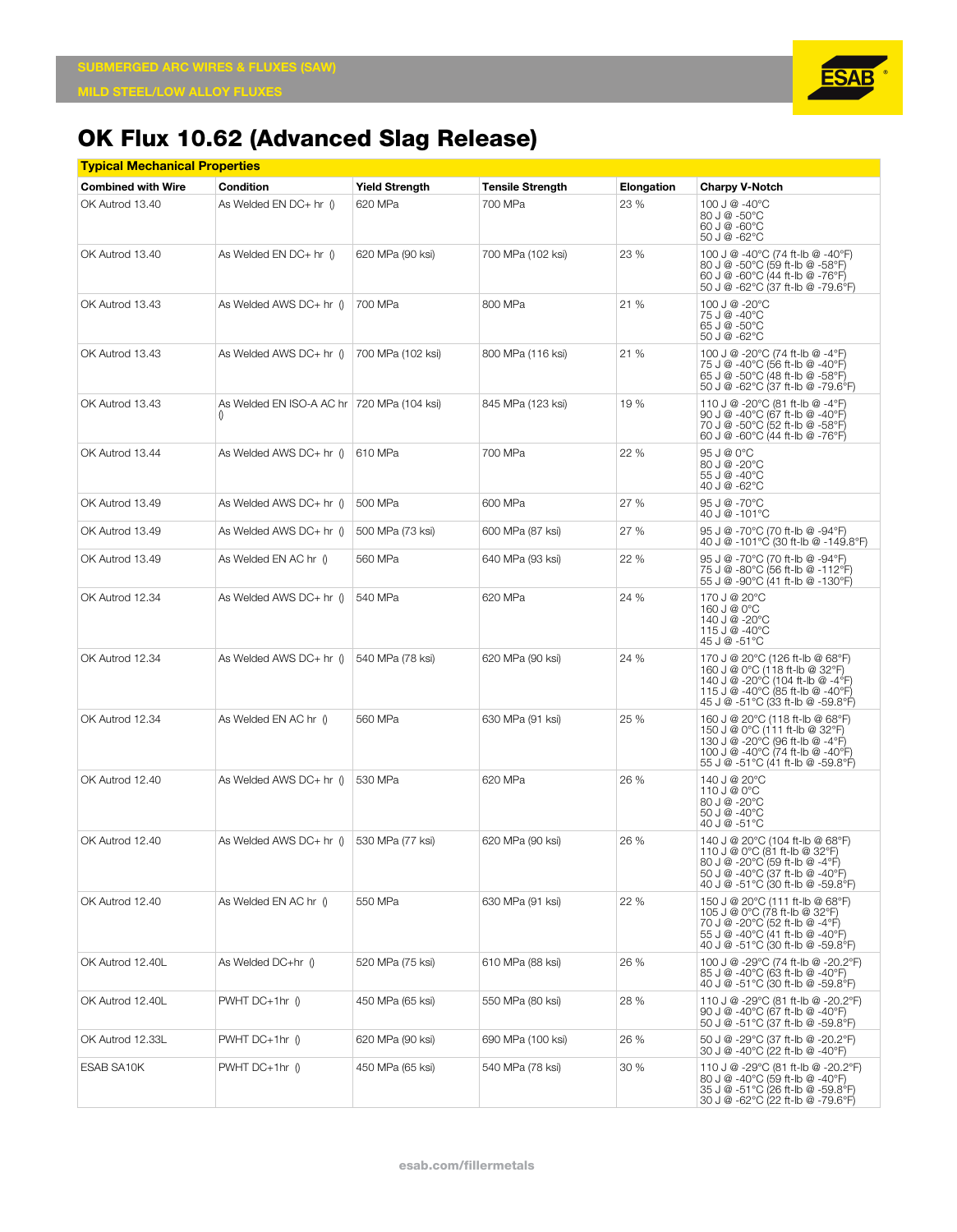

|                           | <b>Typical Mechanical Properties</b>                             |                       |                         |            |                                                                                                                                                                                |  |  |  |  |
|---------------------------|------------------------------------------------------------------|-----------------------|-------------------------|------------|--------------------------------------------------------------------------------------------------------------------------------------------------------------------------------|--|--|--|--|
| <b>Combined with Wire</b> | Condition                                                        | <b>Yield Strength</b> | <b>Tensile Strength</b> | Elongation | <b>Charpy V-Notch</b>                                                                                                                                                          |  |  |  |  |
| OK Autrod 13.40           | As Welded EN DC+ hr 0                                            | 620 MPa               | 700 MPa                 | 23 %       | 100 J @ -40°C<br>80 J @ -50°C<br>60 J @ -60°C<br>50 J @ -62°C                                                                                                                  |  |  |  |  |
| OK Autrod 13.40           | As Welded EN DC+ hr ()                                           | 620 MPa (90 ksi)      | 700 MPa (102 ksi)       | 23 %       | 100 J @ -40°C (74 ft-lb @ -40°F)<br>80 J @ -50°C (59 ft-lb @ -58°F)<br>60 J @ -60°C (44 ft-lb @ -76°F)<br>50 J @ -62°C (37 ft-lb @ -79.6°F)                                    |  |  |  |  |
| OK Autrod 13.43           | As Welded AWS DC+ hr ()                                          | 700 MPa               | 800 MPa                 | 21 %       | 100 J @ -20°C<br>75 J @ -40°C<br>65 J @ -50°C<br>50 J @ -62°C                                                                                                                  |  |  |  |  |
| OK Autrod 13.43           | As Welded AWS DC+ hr ()                                          | 700 MPa (102 ksi)     | 800 MPa (116 ksi)       | 21 %       | 100 J @ -20°C (74 ft-lb @ -4°F)<br>75 J @ -40°C (56 ft-lb @ -40°F)<br>65 J @ -50°C (48 ft-lb @ -58°F)<br>50 J @ -62°C (37 ft-lb @ -79.6°F)                                     |  |  |  |  |
| OK Autrod 13.43           | As Welded EN ISO-A AC hr   720 MPa (104 ksi)<br>$\left( \right)$ |                       | 845 MPa (123 ksi)       | 19 %       | 110 J @ -20°C (81 ft-lb @ -4°F)<br>90 J @ -40°C (67 ft-lb @ -40°F)<br>70 J @ -50°C (52 ft-lb @ -58°F)<br>60 J @ -60°C (44 ft-lb @ -76°F)                                       |  |  |  |  |
| OK Autrod 13.44           | As Welded AWS DC+ hr ()                                          | 610 MPa               | 700 MPa                 | 22 %       | 95 J @ 0°C<br>80 J @ -20°C<br>55 J @ -40°C<br>40 J @ -62°C                                                                                                                     |  |  |  |  |
| OK Autrod 13.49           | As Welded AWS DC+ hr ()                                          | 500 MPa               | 600 MPa                 | 27 %       | 95 J @ -70°C<br>40 J @ -101°C                                                                                                                                                  |  |  |  |  |
| OK Autrod 13.49           | As Welded AWS DC+ hr ()                                          | 500 MPa (73 ksi)      | 600 MPa (87 ksi)        | 27 %       | 95 J @ -70°C (70 ft-lb @ -94°F)<br>40 J @ -101°C (30 ft-lb @ -149.8°F)                                                                                                         |  |  |  |  |
| OK Autrod 13.49           | As Welded EN AC hr ()                                            | 560 MPa               | 640 MPa (93 ksi)        | 22 %       | 95 J @ -70°C (70 ft-lb @ -94°F)<br>75 J @ -80°C (56 ft-lb @ -112°F)<br>55 J @ -90°C (41 ft-lb @ -130°F)                                                                        |  |  |  |  |
| OK Autrod 12.34           | As Welded AWS DC+ hr ()                                          | 540 MPa               | 620 MPa                 | 24 %       | 170 J @ 20°C<br>160 J @ 0°C<br>140 J @ -20°C<br>115 J @ -40°C<br>45 J @ -51°C                                                                                                  |  |  |  |  |
| OK Autrod 12.34           | As Welded AWS DC+ hr ()                                          | 540 MPa (78 ksi)      | 620 MPa (90 ksi)        | 24 %       | 170 J @ 20°C (126 ft-lb @ 68°F)<br>160 J @ 0°C (118 ft-lb @ 32°F)<br>140 J @ -20°C (104 ft-lb @ -4°F)<br>115 J @ -40°C (85 ft-lb @ -40°F)<br>45 J @ -51°C (33 ft-lb @ -59.8°F) |  |  |  |  |
| OK Autrod 12.34           | As Welded EN AC hr ()                                            | 560 MPa               | 630 MPa (91 ksi)        | 25 %       | 160 J @ 20°C (118 ft-lb @ 68°F)<br>150 J @ 0°C (111 ft-lb @ 32°F)<br>130 J @ -20°C (96 ft-lb @ -4°F)<br>100 J @ -40°C (74 ft-lb @ -40°F)<br>55 J @ -51°C (41 ft-lb @ -59.8°F)  |  |  |  |  |
| OK Autrod 12.40           | As Welded AWS DC+ hr ()                                          | 530 MPa               | 620 MPa                 | 26 %       | 140 J @ 20°C<br>110 J @ 0°C<br>80 J @ -20°C<br>50 J @ -40°C<br>40 J @ -51°C                                                                                                    |  |  |  |  |
| OK Autrod 12.40           | As Welded AWS $DC+hr$ ()                                         | 530 MPa (77 ksi)      | 620 MPa (90 ksi)        | 26 %       | 140 J @ 20°C (104 ft-lb @ 68°F)<br>110 J @ 0°C (81 ft-lb @ 32°F)<br>80 J @ -20°C (59 ft-Ib @ -4°F)<br>50 J @ -40°C (37 ft-lb @ -40°F)<br>40 J @ -51°C (30 ft-lb @ -59.8°F)     |  |  |  |  |
| OK Autrod 12.40           | As Welded EN AC hr ()                                            | 550 MPa               | 630 MPa (91 ksi)        | 22 %       | 150 J @ 20°C (111 ft-lb @ 68°F)<br>105 J @ 0°C (78 ft-lb @ 32°F)<br>70 J @ -20°C (52 ft-lb @ -4°F)<br>55 J @ -40°C (41 ft-lb @ -40°F)<br>40 J @ -51°C (30 ft-lb @ -59.8°F)     |  |  |  |  |
| OK Autrod 12.40L          | As Welded DC+hr ()                                               | 520 MPa (75 ksi)      | 610 MPa (88 ksi)        | 26 %       | 100 J @ -29°C (74 ft-lb @ -20.2°F)<br>85 J @ -40°C (63 ft-lb @ -40°F)<br>40 J @ -51°C (30 ft-lb @ -59.8°F)                                                                     |  |  |  |  |
| OK Autrod 12.40L          | $PWHT$ DC+1hr $\uparrow$                                         | 450 MPa (65 ksi)      | 550 MPa (80 ksi)        | 28 %       | 110 J @ -29°C (81 ft-lb @ -20.2°F)<br>90 J @ -40°C (67 ft-lb @ -40°F)<br>50 J @ -51°C (37 ft-lb @ -59.8°F)                                                                     |  |  |  |  |
| OK Autrod 12.33L          | $PWHT$ DC+1hr $\theta$                                           | 620 MPa (90 ksi)      | 690 MPa (100 ksi)       | 26 %       | 50 J @ -29°C (37 ft-lb @ -20.2°F)<br>30 J @ -40°C (22 ft-lb @ -40°F)                                                                                                           |  |  |  |  |
| ESAB SA10K                | $PWHT$ DC+1hr $\langle$                                          | 450 MPa (65 ksi)      | 540 MPa (78 ksi)        | 30%        | 110 J @ -29°C (81 ft-lb @ -20.2°F)<br>80 J @ -40°C (59 ft-lb @ -40°F)<br>35 J @ -51°C (26 ft-lb @ -59.8°F)<br>30 J @ -62°C (22 ft-lb @ -79.6°F)                                |  |  |  |  |